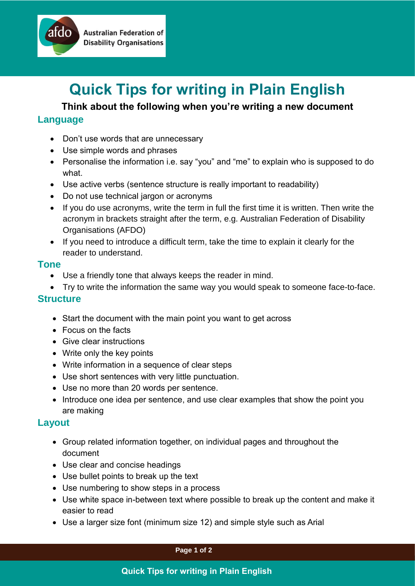

## **Think about the following when you're writing a new document Language**

• Don't use words that are unnecessary

**Australian Federation of Disability Organisations** 

- Use simple words and phrases
- Personalise the information i.e. say "you" and "me" to explain who is supposed to do what.
- Use active verbs (sentence structure is really important to readability)
- Do not use technical jargon or acronyms
- If you do use acronyms, write the term in full the first time it is written. Then write the acronym in brackets straight after the term, e.g. Australian Federation of Disability Organisations (AFDO)
- If you need to introduce a difficult term, take the time to explain it clearly for the reader to understand.

### **Tone**

- Use a friendly tone that always keeps the reader in mind.
- Try to write the information the same way you would speak to someone face-to-face.

## **Structure**

afdo

- Start the document with the main point you want to get across
- Focus on the facts
- Give clear instructions
- Write only the key points
- Write information in a sequence of clear steps
- Use short sentences with very little punctuation.
- Use no more than 20 words per sentence.
- Introduce one idea per sentence, and use clear examples that show the point you are making

## **Layout**

- Group related information together, on individual pages and throughout the document
- Use clear and concise headings
- Use bullet points to break up the text
- Use numbering to show steps in a process
- Use white space in-between text where possible to break up the content and make it easier to read
- Use a larger size font (minimum size 12) and simple style such as Arial

#### **Page 1 of 2**